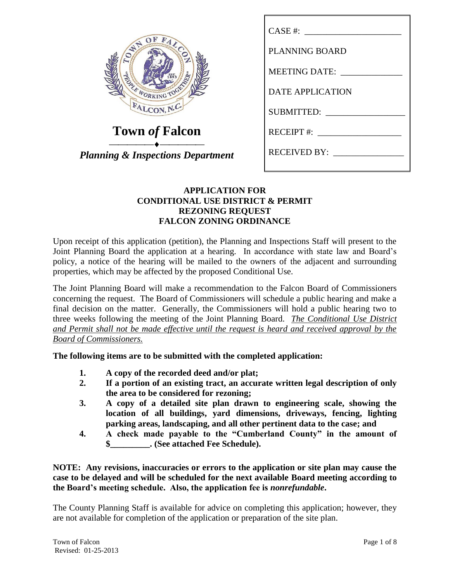| FALCO<br><b>EST.</b><br>893<br>BONJE MORKING TOOSE<br>FALCON, N.C. |
|--------------------------------------------------------------------|
|--------------------------------------------------------------------|

**Town** *of* **Falcon**

*Planning & Inspections Department*

| CASE #:                 |
|-------------------------|
| <b>PLANNING BOARD</b>   |
| <b>MEETING DATE:</b>    |
| <b>DATE APPLICATION</b> |
| <b>SUBMITTED:</b>       |
| $RECEIPT$ #:            |
| <b>RECEIVED BY:</b>     |

## **APPLICATION FOR CONDITIONAL USE DISTRICT & PERMIT REZONING REQUEST FALCON ZONING ORDINANCE**

Upon receipt of this application (petition), the Planning and Inspections Staff will present to the Joint Planning Board the application at a hearing. In accordance with state law and Board's policy, a notice of the hearing will be mailed to the owners of the adjacent and surrounding properties, which may be affected by the proposed Conditional Use.

The Joint Planning Board will make a recommendation to the Falcon Board of Commissioners concerning the request. The Board of Commissioners will schedule a public hearing and make a final decision on the matter. Generally, the Commissioners will hold a public hearing two to three weeks following the meeting of the Joint Planning Board. *The Conditional Use District and Permit shall not be made effective until the request is heard and received approval by the Board of Commissioners.*

**The following items are to be submitted with the completed application:**

- **1. A copy of the recorded deed and/or plat;**
- **2. If a portion of an existing tract, an accurate written legal description of only the area to be considered for rezoning;**
- **3. A copy of a detailed site plan drawn to engineering scale, showing the location of all buildings, yard dimensions, driveways, fencing, lighting parking areas, landscaping, and all other pertinent data to the case; and**
- **4. A check made payable to the "Cumberland County" in the amount of \$\_\_\_\_\_\_\_\_\_. (See attached Fee Schedule).**

**NOTE: Any revisions, inaccuracies or errors to the application or site plan may cause the case to be delayed and will be scheduled for the next available Board meeting according to the Board's meeting schedule. Also, the application fee is** *nonrefundable***.**

The County Planning Staff is available for advice on completing this application; however, they are not available for completion of the application or preparation of the site plan.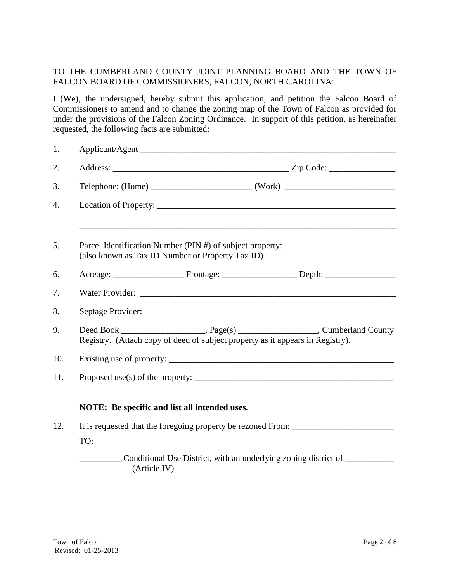## TO THE CUMBERLAND COUNTY JOINT PLANNING BOARD AND THE TOWN OF FALCON BOARD OF COMMISSIONERS, FALCON, NORTH CAROLINA:

I (We), the undersigned, hereby submit this application, and petition the Falcon Board of Commissioners to amend and to change the zoning map of the Town of Falcon as provided for under the provisions of the Falcon Zoning Ordinance. In support of this petition, as hereinafter requested, the following facts are submitted:

| 1.  |                                                                                                                                                                          |  |  |  |  |
|-----|--------------------------------------------------------------------------------------------------------------------------------------------------------------------------|--|--|--|--|
| 2.  |                                                                                                                                                                          |  |  |  |  |
| 3.  |                                                                                                                                                                          |  |  |  |  |
| 4.  |                                                                                                                                                                          |  |  |  |  |
| 5.  | Parcel Identification Number (PIN #) of subject property: _______________________<br>(also known as Tax ID Number or Property Tax ID)                                    |  |  |  |  |
| 6.  |                                                                                                                                                                          |  |  |  |  |
| 7.  |                                                                                                                                                                          |  |  |  |  |
| 8.  |                                                                                                                                                                          |  |  |  |  |
| 9.  | Deed Book ________________________, Page(s) _______________________, Cumberland County<br>Registry. (Attach copy of deed of subject property as it appears in Registry). |  |  |  |  |
| 10. |                                                                                                                                                                          |  |  |  |  |
| 11. | Proposed use(s) of the property: $\sqrt{\frac{1}{2} \sum_{i=1}^{n} (x_i - x_i)^2}$                                                                                       |  |  |  |  |
|     | NOTE: Be specific and list all intended uses.                                                                                                                            |  |  |  |  |
| 12. | It is requested that the foregoing property be rezoned From: ____________________                                                                                        |  |  |  |  |
|     | TO:                                                                                                                                                                      |  |  |  |  |
|     | Conditional Use District, with an underlying zoning district of<br>(Article IV)                                                                                          |  |  |  |  |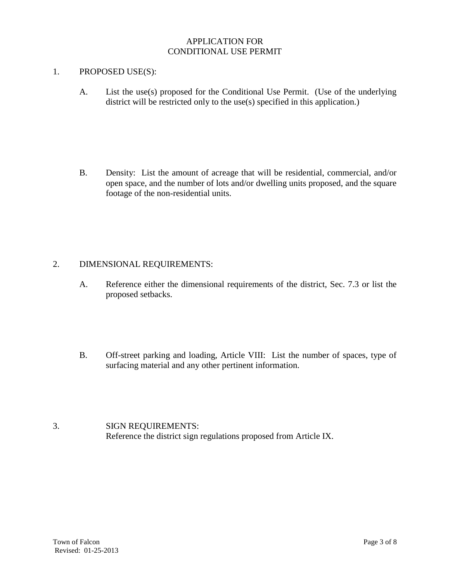#### APPLICATION FOR CONDITIONAL USE PERMIT

#### 1. PROPOSED USE(S):

A. List the use(s) proposed for the Conditional Use Permit. (Use of the underlying district will be restricted only to the use(s) specified in this application.)

B. Density: List the amount of acreage that will be residential, commercial, and/or open space, and the number of lots and/or dwelling units proposed, and the square footage of the non-residential units.

#### 2. DIMENSIONAL REQUIREMENTS:

- A. Reference either the dimensional requirements of the district, Sec. 7.3 or list the proposed setbacks.
- B. Off-street parking and loading, Article VIII: List the number of spaces, type of surfacing material and any other pertinent information.
- 3. SIGN REQUIREMENTS: Reference the district sign regulations proposed from Article IX.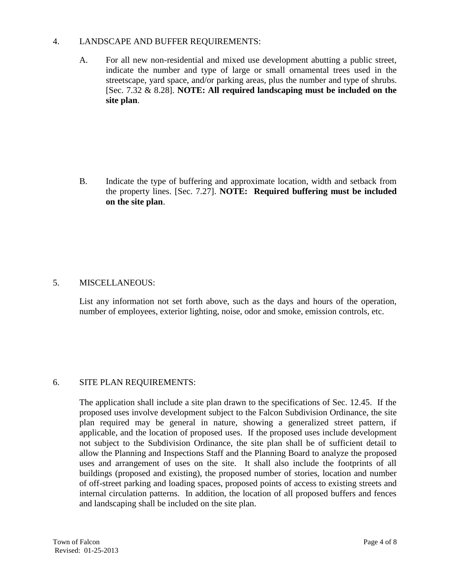#### 4. LANDSCAPE AND BUFFER REQUIREMENTS:

A. For all new non-residential and mixed use development abutting a public street, indicate the number and type of large or small ornamental trees used in the streetscape, yard space, and/or parking areas, plus the number and type of shrubs. [Sec. 7.32 & 8.28]. **NOTE: All required landscaping must be included on the site plan**.

B. Indicate the type of buffering and approximate location, width and setback from the property lines. [Sec. 7.27]. **NOTE: Required buffering must be included on the site plan**.

### 5. MISCELLANEOUS:

List any information not set forth above, such as the days and hours of the operation, number of employees, exterior lighting, noise, odor and smoke, emission controls, etc.

#### 6. SITE PLAN REQUIREMENTS:

The application shall include a site plan drawn to the specifications of Sec. 12.45. If the proposed uses involve development subject to the Falcon Subdivision Ordinance, the site plan required may be general in nature, showing a generalized street pattern, if applicable, and the location of proposed uses. If the proposed uses include development not subject to the Subdivision Ordinance, the site plan shall be of sufficient detail to allow the Planning and Inspections Staff and the Planning Board to analyze the proposed uses and arrangement of uses on the site. It shall also include the footprints of all buildings (proposed and existing), the proposed number of stories, location and number of off-street parking and loading spaces, proposed points of access to existing streets and internal circulation patterns. In addition, the location of all proposed buffers and fences and landscaping shall be included on the site plan.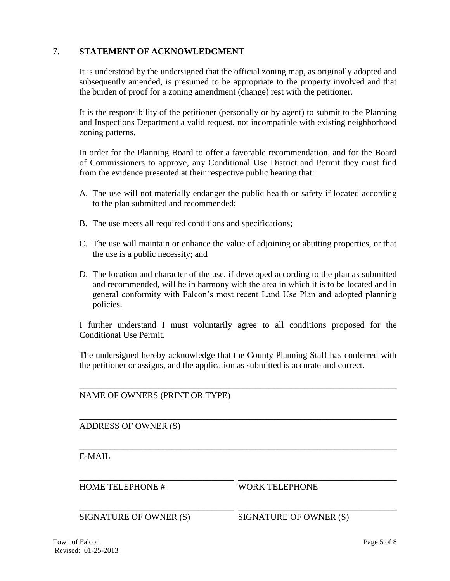### 7. **STATEMENT OF ACKNOWLEDGMENT**

It is understood by the undersigned that the official zoning map, as originally adopted and subsequently amended, is presumed to be appropriate to the property involved and that the burden of proof for a zoning amendment (change) rest with the petitioner.

It is the responsibility of the petitioner (personally or by agent) to submit to the Planning and Inspections Department a valid request, not incompatible with existing neighborhood zoning patterns.

In order for the Planning Board to offer a favorable recommendation, and for the Board of Commissioners to approve, any Conditional Use District and Permit they must find from the evidence presented at their respective public hearing that:

- A. The use will not materially endanger the public health or safety if located according to the plan submitted and recommended;
- B. The use meets all required conditions and specifications;
- C. The use will maintain or enhance the value of adjoining or abutting properties, or that the use is a public necessity; and
- D. The location and character of the use, if developed according to the plan as submitted and recommended, will be in harmony with the area in which it is to be located and in general conformity with Falcon's most recent Land Use Plan and adopted planning policies.

I further understand I must voluntarily agree to all conditions proposed for the Conditional Use Permit.

The undersigned hereby acknowledge that the County Planning Staff has conferred with the petitioner or assigns, and the application as submitted is accurate and correct.

\_\_\_\_\_\_\_\_\_\_\_\_\_\_\_\_\_\_\_\_\_\_\_\_\_\_\_\_\_\_\_\_\_\_\_\_\_\_\_\_\_\_\_\_\_\_\_\_\_\_\_\_\_\_\_\_\_\_\_\_\_\_\_\_\_\_\_\_\_\_\_\_

\_\_\_\_\_\_\_\_\_\_\_\_\_\_\_\_\_\_\_\_\_\_\_\_\_\_\_\_\_\_\_\_\_\_\_\_\_\_\_\_\_\_\_\_\_\_\_\_\_\_\_\_\_\_\_\_\_\_\_\_\_\_\_\_\_\_\_\_\_\_\_\_

\_\_\_\_\_\_\_\_\_\_\_\_\_\_\_\_\_\_\_\_\_\_\_\_\_\_\_\_\_\_\_\_\_\_\_\_\_\_\_\_\_\_\_\_\_\_\_\_\_\_\_\_\_\_\_\_\_\_\_\_\_\_\_\_\_\_\_\_\_\_\_\_

\_\_\_\_\_\_\_\_\_\_\_\_\_\_\_\_\_\_\_\_\_\_\_\_\_\_\_\_\_\_\_\_\_\_\_ \_\_\_\_\_\_\_\_\_\_\_\_\_\_\_\_\_\_\_\_\_\_\_\_\_\_\_\_\_\_\_\_\_\_\_\_

\_\_\_\_\_\_\_\_\_\_\_\_\_\_\_\_\_\_\_\_\_\_\_\_\_\_\_\_\_\_\_\_\_\_\_ \_\_\_\_\_\_\_\_\_\_\_\_\_\_\_\_\_\_\_\_\_\_\_\_\_\_\_\_\_\_\_\_\_\_\_\_

NAME OF OWNERS (PRINT OR TYPE)

ADDRESS OF OWNER (S)

E-MAIL

HOME TELEPHONE # WORK TELEPHONE

SIGNATURE OF OWNER (S) SIGNATURE OF OWNER (S)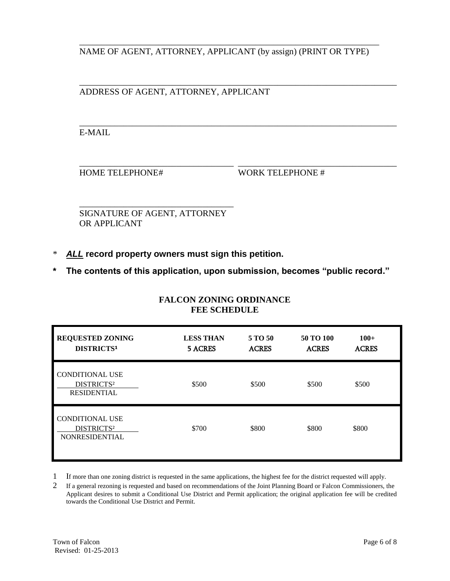\_\_\_\_\_\_\_\_\_\_\_\_\_\_\_\_\_\_\_\_\_\_\_\_\_\_\_\_\_\_\_\_\_\_\_\_\_\_\_\_\_\_\_\_\_\_\_\_\_\_\_\_\_\_\_\_\_\_\_\_\_\_\_\_\_\_\_\_ NAME OF AGENT, ATTORNEY, APPLICANT (by assign) (PRINT OR TYPE)

\_\_\_\_\_\_\_\_\_\_\_\_\_\_\_\_\_\_\_\_\_\_\_\_\_\_\_\_\_\_\_\_\_\_\_\_\_\_\_\_\_\_\_\_\_\_\_\_\_\_\_\_\_\_\_\_\_\_\_\_\_\_\_\_\_\_\_\_\_\_\_\_

\_\_\_\_\_\_\_\_\_\_\_\_\_\_\_\_\_\_\_\_\_\_\_\_\_\_\_\_\_\_\_\_\_\_\_ \_\_\_\_\_\_\_\_\_\_\_\_\_\_\_\_\_\_\_\_\_\_\_\_\_\_\_\_\_\_\_\_\_\_\_\_

\_\_\_\_\_\_\_\_\_\_\_\_\_\_\_\_\_\_\_\_\_\_\_\_\_\_\_\_\_\_\_\_\_\_\_\_\_\_\_\_\_\_\_\_\_\_\_\_\_\_\_\_\_\_\_\_\_\_\_\_\_\_\_\_\_\_\_\_\_\_\_\_ ADDRESS OF AGENT, ATTORNEY, APPLICANT

E-MAIL

HOME TELEPHONE# WORK TELEPHONE #

\_\_\_\_\_\_\_\_\_\_\_\_\_\_\_\_\_\_\_\_\_\_\_\_\_\_\_\_\_\_\_\_\_\_\_ SIGNATURE OF AGENT, ATTORNEY OR APPLICANT

- ALL record property owners must sign this petition.
- **\* The contents of this application, upon submission, becomes "public record."**

| <b>REQUESTED ZONING</b><br>DISTRICTS <sup>1</sup>                         | <b>LESS THAN</b><br><b>5 ACRES</b> | 5 TO 50<br><b>ACRES</b> | 50 TO 100<br><b>ACRES</b> | $100+$<br><b>ACRES</b> |
|---------------------------------------------------------------------------|------------------------------------|-------------------------|---------------------------|------------------------|
| <b>CONDITIONAL USE</b><br>DISTRICTS <sup>2</sup><br><b>RESIDENTIAL</b>    | \$500                              | \$500                   | \$500                     | \$500                  |
| <b>CONDITIONAL USE</b><br>DISTRICTS <sup>2</sup><br><b>NONRESIDENTIAL</b> | \$700                              | \$800                   | \$800                     | \$800                  |

## **FALCON ZONING ORDINANCE FEE SCHEDULE**

1 If more than one zoning district is requested in the same applications, the highest fee for the district requested will apply.

2 If a general rezoning is requested and based on recommendations of the Joint Planning Board or Falcon Commissioners, the Applicant desires to submit a Conditional Use District and Permit application; the original application fee will be credited towards the Conditional Use District and Permit.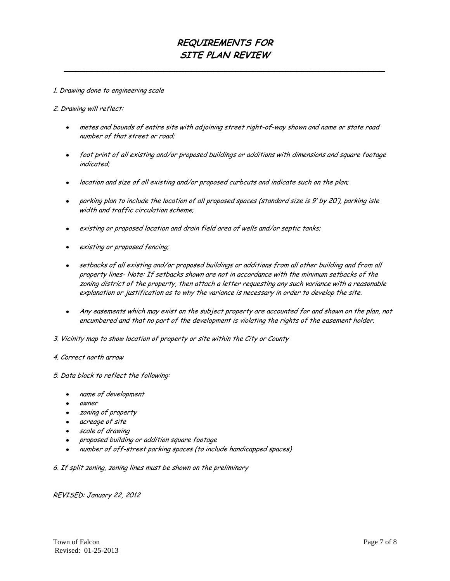## **REQUIREMENTS FOR SITE PLAN REVIEW**

**\_\_\_\_\_\_\_\_\_\_\_\_\_\_\_\_\_\_\_\_\_\_\_\_\_\_\_\_\_\_\_\_\_\_\_\_\_\_\_\_\_\_\_\_\_\_\_\_\_\_\_\_\_\_\_\_\_\_**

#### 1. Drawing done to engineering scale

#### 2. Drawing will reflect:

- metes and bounds of entire site with adjoining street right-of-way shown and name or state road  $\bullet$ number of that street or road;
- foot print of all existing and/or proposed buildings or additions with dimensions and square footage indicated;
- location and size of all existing and/or proposed curbcuts and indicate such on the plan;
- parking plan to include the location of all proposed spaces (standard size is 9' by 20'), parking isle width and traffic circulation scheme;
- existing or proposed location and drain field area of wells and/or septic tanks;
- existing or proposed fencing;
- setbacks of all existing and/or proposed buildings or additions from all other building and from all property lines- Note: If setbacks shown are not in accordance with the minimum setbacks of the zoning district of the property, then attach a letter requesting any such variance with a reasonable explanation or justification as to why the variance is necessary in order to develop the site.
- Any easements which may exist on the subject property are accounted for and shown on the plan, not encumbered and that no part of the development is violating the rights of the easement holder.
- 3. Vicinity map to show location of property or site within the City or County
- 4. Correct north arrow

#### 5. Data block to reflect the following:

- name of development  $\bullet$
- owner
- zoning of property
- acreage of site
- scale of drawing
- proposed building or addition square footage  $\bullet$
- number of off-street parking spaces (to include handicapped spaces)

6. If split zoning, zoning lines must be shown on the preliminary

#### REVISED: January 22, 2012